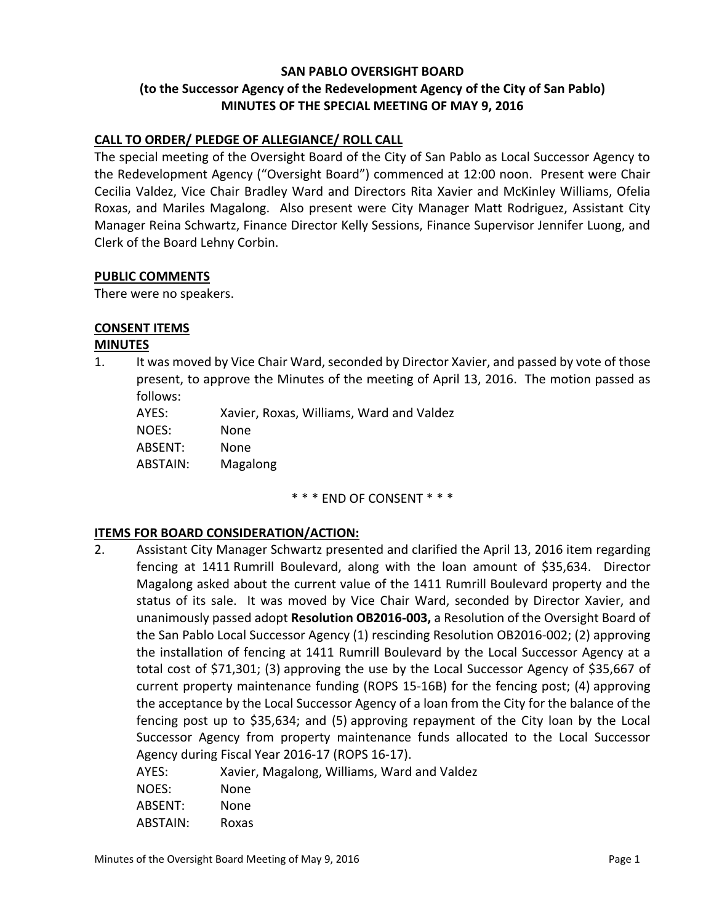# **SAN PABLO OVERSIGHT BOARD (to the Successor Agency of the Redevelopment Agency of the City of San Pablo) MINUTES OF THE SPECIAL MEETING OF MAY 9, 2016**

# **CALL TO ORDER/ PLEDGE OF ALLEGIANCE/ ROLL CALL**

The special meeting of the Oversight Board of the City of San Pablo as Local Successor Agency to the Redevelopment Agency ("Oversight Board") commenced at 12:00 noon. Present were Chair Cecilia Valdez, Vice Chair Bradley Ward and Directors Rita Xavier and McKinley Williams, Ofelia Roxas, and Mariles Magalong. Also present were City Manager Matt Rodriguez, Assistant City Manager Reina Schwartz, Finance Director Kelly Sessions, Finance Supervisor Jennifer Luong, and Clerk of the Board Lehny Corbin.

#### **PUBLIC COMMENTS**

There were no speakers.

## **CONSENT ITEMS**

## **MINUTES**

1. It was moved by Vice Chair Ward, seconded by Director Xavier, and passed by vote of those present, to approve the Minutes of the meeting of April 13, 2016. The motion passed as follows:

AYES: Xavier, Roxas, Williams, Ward and Valdez NOES: None ABSENT: None

ABSTAIN: Magalong

\* \* \* END OF CONSENT \* \* \*

#### **ITEMS FOR BOARD CONSIDERATION/ACTION:**

2. Assistant City Manager Schwartz presented and clarified the April 13, 2016 item regarding fencing at 1411 Rumrill Boulevard, along with the loan amount of \$35,634. Director Magalong asked about the current value of the 1411 Rumrill Boulevard property and the status of its sale. It was moved by Vice Chair Ward, seconded by Director Xavier, and unanimously passed adopt **Resolution OB2016-003,** a Resolution of the Oversight Board of the San Pablo Local Successor Agency (1) rescinding Resolution OB2016-002; (2) approving the installation of fencing at 1411 Rumrill Boulevard by the Local Successor Agency at a total cost of \$71,301; (3) approving the use by the Local Successor Agency of \$35,667 of current property maintenance funding (ROPS 15-16B) for the fencing post; (4) approving the acceptance by the Local Successor Agency of a loan from the City for the balance of the fencing post up to \$35,634; and (5) approving repayment of the City loan by the Local Successor Agency from property maintenance funds allocated to the Local Successor Agency during Fiscal Year 2016-17 (ROPS 16-17).

AYES: Xavier, Magalong, Williams, Ward and Valdez

NOES: None

ABSENT: None

ABSTAIN: Roxas